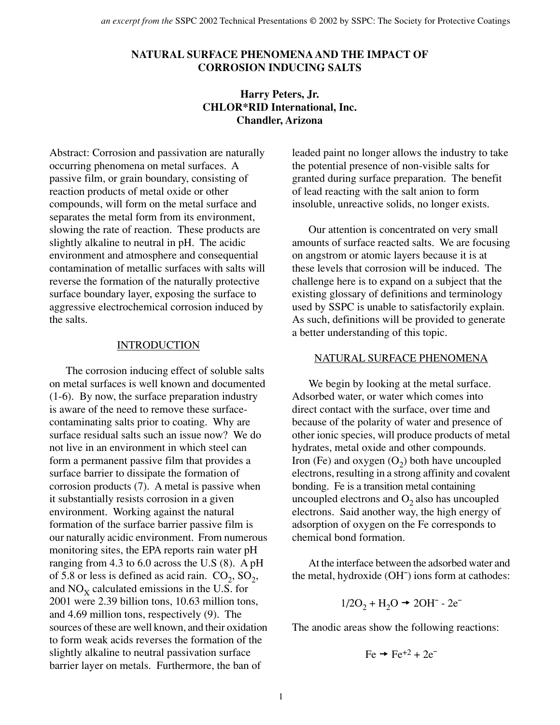## **NATURAL SURFACE PHENOMENA AND THE IMPACT OF CORROSION INDUCING SALTS**

# **Harry Peters, Jr. CHLOR\*RID International, Inc. Chandler, Arizona**

Abstract: Corrosion and passivation are naturally occurring phenomena on metal surfaces. A passive film, or grain boundary, consisting of reaction products of metal oxide or other compounds, will form on the metal surface and separates the metal form from its environment, slowing the rate of reaction. These products are slightly alkaline to neutral in pH. The acidic environment and atmosphere and consequential contamination of metallic surfaces with salts will reverse the formation of the naturally protective surface boundary layer, exposing the surface to aggressive electrochemical corrosion induced by the salts.

#### INTRODUCTION

The corrosion inducing effect of soluble salts on metal surfaces is well known and documented (1-6). By now, the surface preparation industry is aware of the need to remove these surfacecontaminating salts prior to coating. Why are surface residual salts such an issue now? We do not live in an environment in which steel can form a permanent passive film that provides a surface barrier to dissipate the formation of corrosion products (7). A metal is passive when it substantially resists corrosion in a given environment. Working against the natural formation of the surface barrier passive film is our naturally acidic environment. From numerous monitoring sites, the EPA reports rain water pH ranging from 4.3 to 6.0 across the U.S (8). A pH of 5.8 or less is defined as acid rain.  $CO_2$ ,  $SO_2$ , and  $NO<sub>x</sub>$  calculated emissions in the U.S. for 2001 were 2.39 billion tons, 10.63 million tons, and 4.69 million tons, respectively (9). The sources of these are well known, and their oxidation to form weak acids reverses the formation of the slightly alkaline to neutral passivation surface barrier layer on metals. Furthermore, the ban of

leaded paint no longer allows the industry to take the potential presence of non-visible salts for granted during surface preparation. The benefit of lead reacting with the salt anion to form insoluble, unreactive solids, no longer exists.

Our attention is concentrated on very small amounts of surface reacted salts. We are focusing on angstrom or atomic layers because it is at these levels that corrosion will be induced. The challenge here is to expand on a subject that the existing glossary of definitions and terminology used by SSPC is unable to satisfactorily explain. As such, definitions will be provided to generate a better understanding of this topic.

#### NATURAL SURFACE PHENOMENA

We begin by looking at the metal surface. Adsorbed water, or water which comes into direct contact with the surface, over time and because of the polarity of water and presence of other ionic species, will produce products of metal hydrates, metal oxide and other compounds. Iron (Fe) and oxygen  $(O_2)$  both have uncoupled electrons, resulting in a strong affinity and covalent bonding. Fe is a transition metal containing uncoupled electrons and  $O_2$  also has uncoupled electrons. Said another way, the high energy of adsorption of oxygen on the Fe corresponds to chemical bond formation.

At the interface between the adsorbed water and the metal, hydroxide (OH¯) ions form at cathodes:

$$
1/2\text{O}_2 + \text{H}_2\text{O} \rightarrow 2\text{OH}^- - 2\text{e}^-
$$

The anodic areas show the following reactions:

$$
\text{Fe} \rightarrow \text{Fe}^{+2} + 2\text{e}^{-}
$$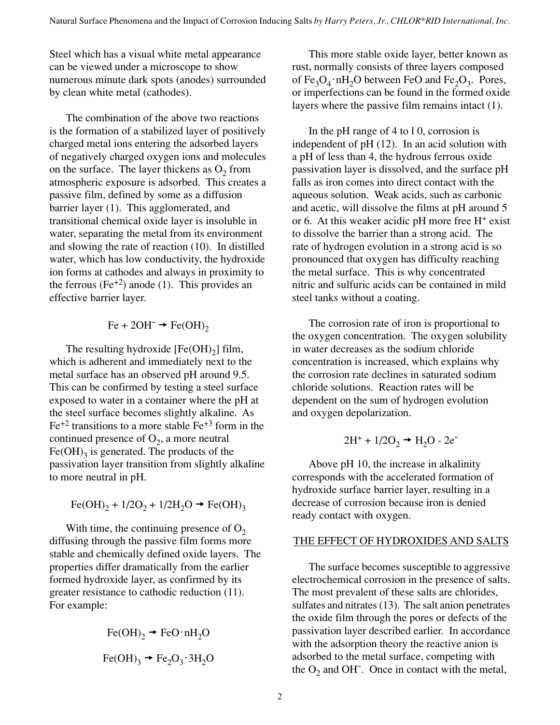Steel which has a visual white metal appearance can be viewed under a microscope to show numerous minute dark spots (anodes) surrounded by clean white metal (cathodes).

The combination of the above two reactions is the formation of a stabilized layer of positively charged metal ions entering the adsorbed layers of negatively charged oxygen ions and molecules on the surface. The layer thickens as  $O_2$  from atmospheric exposure is adsorbed. This creates a passive film, defined by some as a diffusion barrier layer (1). This agglomerated, and transitional chemical oxide layer is insoluble in water, separating the metal from its environment and slowing the rate of reaction (10). In distilled water, which has low conductivity, the hydroxide ion forms at cathodes and always in proximity to the ferrous (Fe<sup>+2</sup>) anode (1). This provides an effective barrier layer.

$$
\text{Fe} + 2\text{OH}^- \rightarrow \text{Fe(OH)}_2
$$

The resulting hydroxide  $[Fe(OH)_2]$  film, which is adherent and immediately next to the metal surface has an observed pH around 9.5. This can be confirmed by testing a steel surface exposed to water in a container where the pH at the steel surface becomes slightly alkaline. As  $Fe^{+2}$  transitions to a more stable  $Fe^{+3}$  form in the continued presence of  $O_2$ , a more neutral  $Fe(OH)$ <sub>3</sub> is generated. The products of the passivation layer transition from slightly alkaline to more neutral in pH.

Fe(OH)<sub>2</sub> + 1/2O<sub>2</sub> + 1/2H<sub>2</sub>O 
$$
\rightarrow
$$
 Fe(OH)<sub>3</sub>

With time, the continuing presence of  $O_2$ diffusing through the passive film forms more stable and chemically defined oxide layers. The properties differ dramatically from the earlier formed hydroxide layer, as confirmed by its greater resistance to cathodic reduction (11). For example:

$$
\text{Fe(OH)}_{2} \rightarrow \text{FeO} \cdot \text{nH}_{2}\text{O}
$$

$$
\text{Fe(OH)}_{3} \rightarrow \text{Fe}_{2}\text{O}_{3} \cdot 3\text{H}_{2}\text{O}
$$

This more stable oxide layer, better known as rust, normally consists of three layers composed of  $Fe<sub>3</sub>O<sub>4</sub> \cdot nH<sub>2</sub>O$  between FeO and  $Fe<sub>2</sub>O<sub>3</sub>$ . Pores, or imperfections can be found in the formed oxide layers where the passive film remains intact (1).

In the pH range of 4 to l 0, corrosion is independent of pH (12). In an acid solution with a pH of less than 4, the hydrous ferrous oxide passivation layer is dissolved, and the surface pH falls as iron comes into direct contact with the aqueous solution. Weak acids, such as carbonic and acetic, will dissolve the films at pH around 5 or 6. At this weaker acidic  $pH$  more free  $H<sup>+</sup>$  exist to dissolve the barrier than a strong acid. The rate of hydrogen evolution in a strong acid is so pronounced that oxygen has difficulty reaching the metal surface. This is why concentrated nitric and sulfuric acids can be contained in mild steel tanks without a coating.

The corrosion rate of iron is proportional to the oxygen concentration. The oxygen solubility in water decreases as the sodium chloride concentration is increased, which explains why the corrosion rate declines in saturated sodium chloride solutions. Reaction rates will be dependent on the sum of hydrogen evolution and oxygen depolarization.

$$
2\mathrm{H}^+ + 1/2\mathrm{O}_2 \rightarrow \mathrm{H}_2\mathrm{O} \cdot 2\mathrm{e}^-
$$

Above pH 10, the increase in alkalinity corresponds with the accelerated formation of hydroxide surface barrier layer, resulting in a decrease of corrosion because iron is denied ready contact with oxygen.

## THE EFFECT OF HYDROXIDES AND SALTS

The surface becomes susceptible to aggressive electrochemical corrosion in the presence of salts. The most prevalent of these salts are chlorides, sulfates and nitrates (13). The salt anion penetrates the oxide film through the pores or defects of the passivation layer described earlier. In accordance with the adsorption theory the reactive anion is adsorbed to the metal surface, competing with the  $O_2$  and OH<sup> $-$ </sup>. Once in contact with the metal,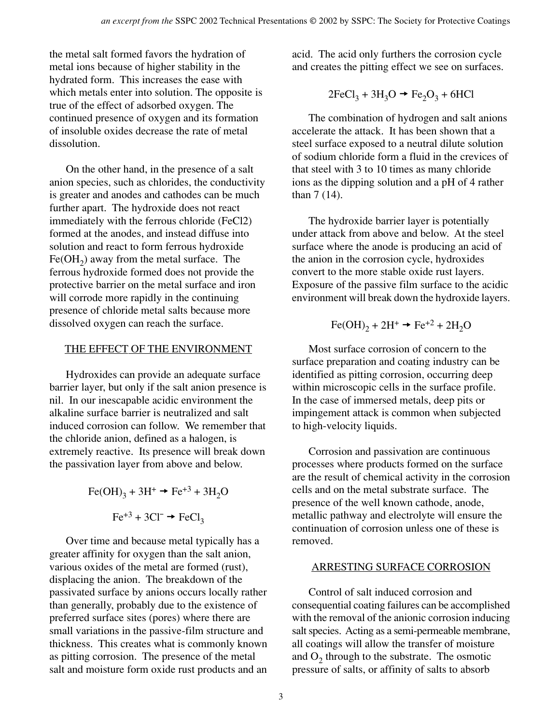the metal salt formed favors the hydration of metal ions because of higher stability in the hydrated form. This increases the ease with which metals enter into solution. The opposite is true of the effect of adsorbed oxygen. The continued presence of oxygen and its formation of insoluble oxides decrease the rate of metal dissolution.

On the other hand, in the presence of a salt anion species, such as chlorides, the conductivity is greater and anodes and cathodes can be much further apart. The hydroxide does not react immediately with the ferrous chloride (FeCl2) formed at the anodes, and instead diffuse into solution and react to form ferrous hydroxide  $Fe(OH<sub>2</sub>)$  away from the metal surface. The ferrous hydroxide formed does not provide the protective barrier on the metal surface and iron will corrode more rapidly in the continuing presence of chloride metal salts because more dissolved oxygen can reach the surface.

## THE EFFECT OF THE ENVIRONMENT

Hydroxides can provide an adequate surface barrier layer, but only if the salt anion presence is nil. In our inescapable acidic environment the alkaline surface barrier is neutralized and salt induced corrosion can follow. We remember that the chloride anion, defined as a halogen, is extremely reactive. Its presence will break down the passivation layer from above and below.

$$
\text{Fe(OH)}_3 + 3\text{H}^+ \rightarrow \text{Fe}^{+3} + 3\text{H}_2\text{O}
$$

$$
\text{Fe}^{+3} + 3\text{Cl}^- \rightarrow \text{FeCl}_3
$$

Over time and because metal typically has a greater affinity for oxygen than the salt anion, various oxides of the metal are formed (rust), displacing the anion. The breakdown of the passivated surface by anions occurs locally rather than generally, probably due to the existence of preferred surface sites (pores) where there are small variations in the passive-film structure and thickness. This creates what is commonly known as pitting corrosion. The presence of the metal salt and moisture form oxide rust products and an

acid. The acid only furthers the corrosion cycle and creates the pitting effect we see on surfaces.

$$
2\text{FeCl}_3 + 3\text{H}_3\text{O} \rightarrow \text{Fe}_2\text{O}_3 + 6\text{HCl}
$$

The combination of hydrogen and salt anions accelerate the attack. It has been shown that a steel surface exposed to a neutral dilute solution of sodium chloride form a fluid in the crevices of that steel with 3 to 10 times as many chloride ions as the dipping solution and a pH of 4 rather than 7 (14).

The hydroxide barrier layer is potentially under attack from above and below. At the steel surface where the anode is producing an acid of the anion in the corrosion cycle, hydroxides convert to the more stable oxide rust layers. Exposure of the passive film surface to the acidic environment will break down the hydroxide layers.

$$
\text{Fe(OH)}_2 + 2\text{H}^+ \rightarrow \text{Fe}^{+2} + 2\text{H}_2\text{O}
$$

Most surface corrosion of concern to the surface preparation and coating industry can be identified as pitting corrosion, occurring deep within microscopic cells in the surface profile. In the case of immersed metals, deep pits or impingement attack is common when subjected to high-velocity liquids.

Corrosion and passivation are continuous processes where products formed on the surface are the result of chemical activity in the corrosion cells and on the metal substrate surface. The presence of the well known cathode, anode, metallic pathway and electrolyte will ensure the continuation of corrosion unless one of these is removed.

## ARRESTING SURFACE CORROSION

Control of salt induced corrosion and consequential coating failures can be accomplished with the removal of the anionic corrosion inducing salt species. Acting as a semi-permeable membrane, all coatings will allow the transfer of moisture and  $O_2$  through to the substrate. The osmotic pressure of salts, or affinity of salts to absorb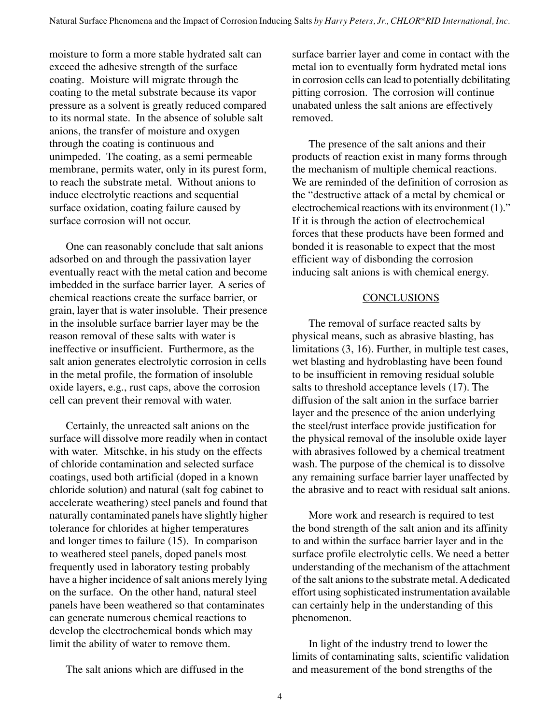moisture to form a more stable hydrated salt can exceed the adhesive strength of the surface coating. Moisture will migrate through the coating to the metal substrate because its vapor pressure as a solvent is greatly reduced compared to its normal state. In the absence of soluble salt anions, the transfer of moisture and oxygen through the coating is continuous and unimpeded. The coating, as a semi permeable membrane, permits water, only in its purest form, to reach the substrate metal. Without anions to induce electrolytic reactions and sequential surface oxidation, coating failure caused by surface corrosion will not occur.

One can reasonably conclude that salt anions adsorbed on and through the passivation layer eventually react with the metal cation and become imbedded in the surface barrier layer. A series of chemical reactions create the surface barrier, or grain, layer that is water insoluble. Their presence in the insoluble surface barrier layer may be the reason removal of these salts with water is ineffective or insufficient. Furthermore, as the salt anion generates electrolytic corrosion in cells in the metal profile, the formation of insoluble oxide layers, e.g., rust caps, above the corrosion cell can prevent their removal with water.

Certainly, the unreacted salt anions on the surface will dissolve more readily when in contact with water. Mitschke, in his study on the effects of chloride contamination and selected surface coatings, used both artificial (doped in a known chloride solution) and natural (salt fog cabinet to accelerate weathering) steel panels and found that naturally contaminated panels have slightly higher tolerance for chlorides at higher temperatures and longer times to failure (15). In comparison to weathered steel panels, doped panels most frequently used in laboratory testing probably have a higher incidence of salt anions merely lying on the surface. On the other hand, natural steel panels have been weathered so that contaminates can generate numerous chemical reactions to develop the electrochemical bonds which may limit the ability of water to remove them.

The salt anions which are diffused in the

surface barrier layer and come in contact with the metal ion to eventually form hydrated metal ions in corrosion cells can lead to potentially debilitating pitting corrosion. The corrosion will continue unabated unless the salt anions are effectively removed.

The presence of the salt anions and their products of reaction exist in many forms through the mechanism of multiple chemical reactions. We are reminded of the definition of corrosion as the "destructive attack of a metal by chemical or electrochemical reactions with its environment (1)." If it is through the action of electrochemical forces that these products have been formed and bonded it is reasonable to expect that the most efficient way of disbonding the corrosion inducing salt anions is with chemical energy.

## **CONCLUSIONS**

The removal of surface reacted salts by physical means, such as abrasive blasting, has limitations (3, 16). Further, in multiple test cases, wet blasting and hydroblasting have been found to be insufficient in removing residual soluble salts to threshold acceptance levels (17). The diffusion of the salt anion in the surface barrier layer and the presence of the anion underlying the steel/rust interface provide justification for the physical removal of the insoluble oxide layer with abrasives followed by a chemical treatment wash. The purpose of the chemical is to dissolve any remaining surface barrier layer unaffected by the abrasive and to react with residual salt anions.

More work and research is required to test the bond strength of the salt anion and its affinity to and within the surface barrier layer and in the surface profile electrolytic cells. We need a better understanding of the mechanism of the attachment of the salt anions to the substrate metal. A dedicated effort using sophisticated instrumentation available can certainly help in the understanding of this phenomenon.

In light of the industry trend to lower the limits of contaminating salts, scientific validation and measurement of the bond strengths of the